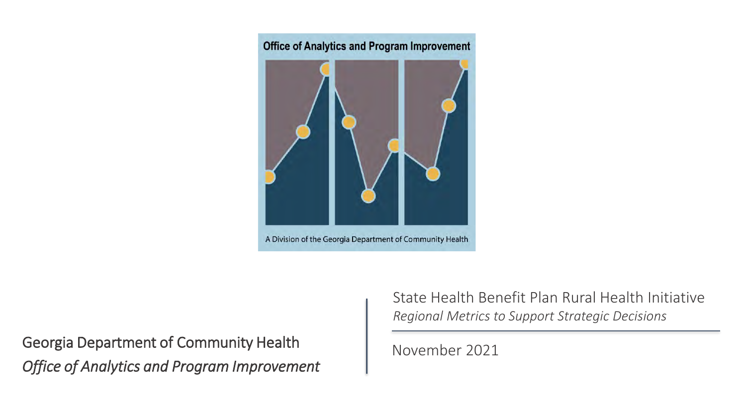

Georgia Department of Community Health *Office of Analytics and Program Improvement* State Health Benefit Plan Rural Health Initiative *Regional Metrics to Support Strategic Decisions*

### November 2021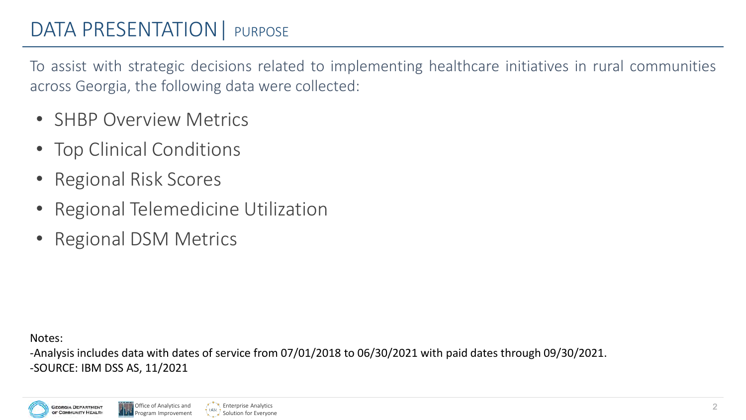# DATA PRESENTATION | PURPOSE

To assist with strategic decisions related to implementing healthcare initiatives in rural communities across Georgia, the following data were collected:

- **SHBP Overview Metrics**
- Top Clinical Conditions
- Regional Risk Scores
- Regional Telemedicine Utilization
- Regional DSM Metrics

Notes:

-Analysis includes data with dates of service from 07/01/2018 to 06/30/2021 with paid dates through 09/30/2021. -SOURCE: IBM DSS AS, 11/2021



Enterprise Analytics Solution for Everyone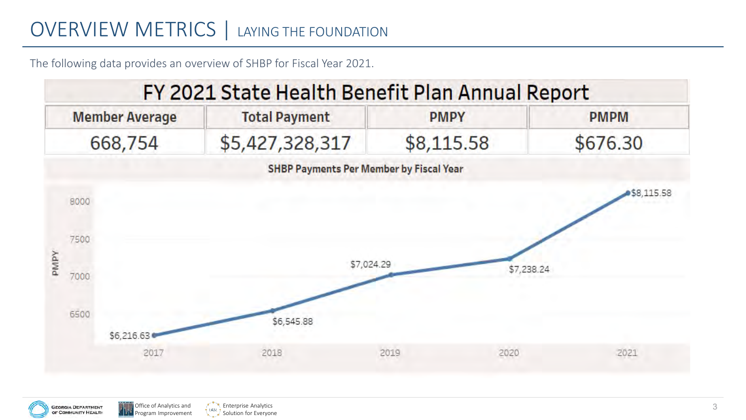# OVERVIEW METRICS | LAYING THE FOUNDATION

The following data provides an overview of SHBP for Fiscal Year 2021.





**Enterprise Analytics** Solution for Everyone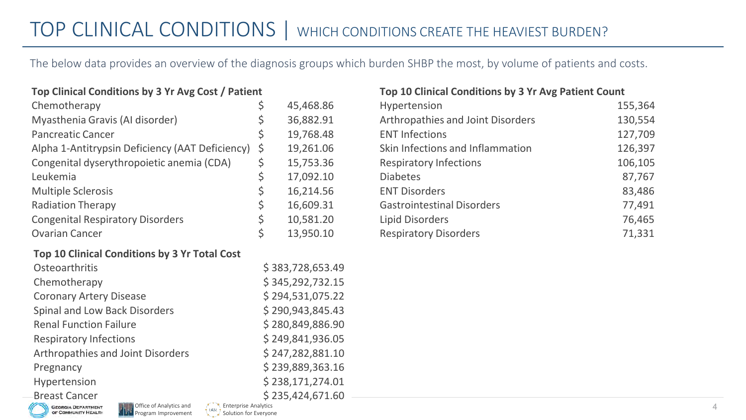# TOP CLINICAL CONDITIONS | WHICH CONDITIONS CREATE THE HEAVIEST BURDEN?

The below data provides an overview of the diagnosis groups which burden SHBP the most, by volume of patients and costs.

#### **Top Clinical Conditions by 3 Yr Avg Cost / Patient**

| Chemotherapy                                    | \$<br>45,468.86  |
|-------------------------------------------------|------------------|
| Myasthenia Gravis (Al disorder)                 | \$<br>36,882.91  |
| <b>Pancreatic Cancer</b>                        | \$<br>19,768.48  |
| Alpha 1-Antitrypsin Deficiency (AAT Deficiency) | \$<br>19,261.06  |
| Congenital dyserythropoietic anemia (CDA)       | \$<br>15,753.36  |
| Leukemia                                        | \$<br>17,092.10  |
| <b>Multiple Sclerosis</b>                       | \$<br>16,214.56  |
| <b>Radiation Therapy</b>                        | \$<br>16,609.31  |
| <b>Congenital Respiratory Disorders</b>         | \$<br>10,581.20  |
| <b>Ovarian Cancer</b>                           | \$<br>13,950.10  |
| Top 10 Clinical Conditions by 3 Yr Total Cost   |                  |
| Osteoarthritis                                  | \$383,728,653.49 |
| Chemotherapy                                    | \$345,292,732.15 |
| <b>Coronary Artery Disease</b>                  | \$294,531,075.22 |
| Spinal and Low Back Disorders                   | \$290,943,845.43 |
| <b>Renal Function Failure</b>                   | \$280,849,886.90 |
| <b>Respiratory Infections</b>                   | \$249,841,936.05 |
| Arthropathies and Joint Disorders               | \$247,282,881.10 |
| Pregnancy                                       | \$239,889,363.16 |
| Hypertension                                    | \$238,171,274.01 |
| <b>Breast Cancer</b>                            | \$235,424,671.60 |

Program Improvement

**SEORGIA DEPARTMENT** OF COMMUNITY HEALTH Enterprise Analytics Solution for Everyone

#### **Top 10 Clinical Conditions by 3 Yr Avg Patient Count**

| Hypertension                      | 155,364 |
|-----------------------------------|---------|
| Arthropathies and Joint Disorders | 130,554 |
| <b>ENT Infections</b>             | 127,709 |
| Skin Infections and Inflammation  | 126,397 |
| <b>Respiratory Infections</b>     | 106,105 |
| <b>Diabetes</b>                   | 87,767  |
| <b>ENT Disorders</b>              | 83,486  |
| <b>Gastrointestinal Disorders</b> | 77,491  |
| <b>Lipid Disorders</b>            | 76,465  |
| <b>Respiratory Disorders</b>      | 71,331  |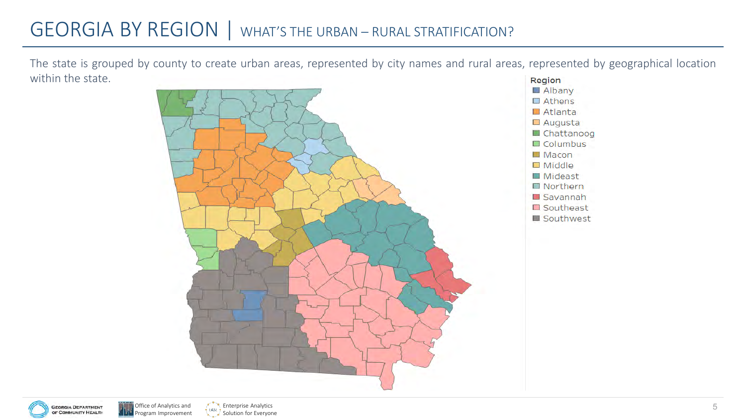# GEORGIA BY REGION | WHAT'S THE URBAN – RURAL STRATIFICATION?

The state is grouped by county to create urban areas, represented by city names and rural areas, represented by geographical location within the state.Region







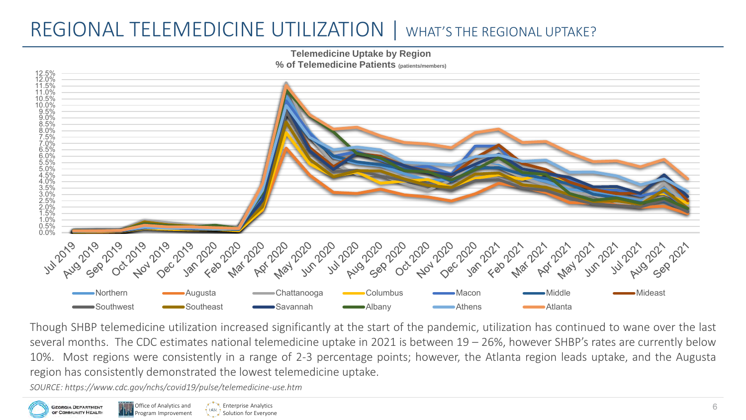# REGIONAL TELEMEDICINE UTILIZATION | WHAT'S THE REGIONAL UPTAKE?





Though SHBP telemedicine utilization increased significantly at the start of the pandemic, utilization has continued to wane over the last several months. The CDC estimates national telemedicine uptake in 2021 is between 19 – 26%, however SHBP's rates are currently below 10%. Most regions were consistently in a range of 2-3 percentage points; however, the Atlanta region leads uptake, and the Augusta region has consistently demonstrated the lowest telemedicine uptake.

*SOURCE: https://www.cdc.gov/nchs/covid19/pulse/telemedicine-use.htm*



**Enterprise Analytics** Solution for Everyone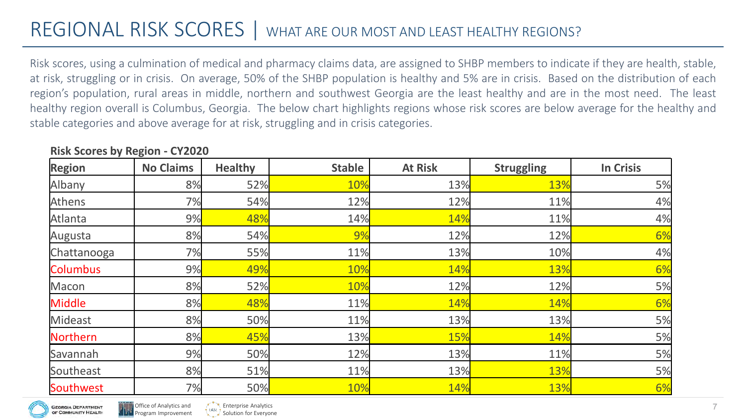# REGIONAL RISK SCORES | WHAT ARE OUR MOST AND LEAST HEALTHY REGIONS?

Risk scores, using a culmination of medical and pharmacy claims data, are assigned to SHBP members to indicate if they are health, stable, at risk, struggling or in crisis. On average, 50% of the SHBP population is healthy and 5% are in crisis. Based on the distribution of each region's population, rural areas in middle, northern and southwest Georgia are the least healthy and are in the most need. The least healthy region overall is Columbus, Georgia. The below chart highlights regions whose risk scores are below average for the healthy and stable categories and above average for at risk, struggling and in crisis categories.

| <b>Region</b>   | <b>No Claims</b> | <b>Healthy</b> | <b>Stable</b> | <b>At Risk</b> | <b>Struggling</b> | <b>In Crisis</b> |
|-----------------|------------------|----------------|---------------|----------------|-------------------|------------------|
| Albany          | 8%               | <b>52%</b>     | 10%           | 13%            | 13%               | 5%               |
| Athens          | 7%               | 54%            | 12%           | 12%            | 11%               | 4%               |
| Atlanta         | 9%               | 48%            | 14%           | 14%            | 11%               | 4%               |
| Augusta         | 8%               | 54%            | 9%            | 12%            | 12%               | 6%               |
| Chattanooga     | 7%               | 55%            | 11%           | 13%            | 10%               | 4%               |
| <b>Columbus</b> | 9%               | 49%            | 10%           | 14%            | 13%               | 6%               |
| Macon           | 8%               | <b>52%</b>     | 10%           | 12%            | 12%               | 5%               |
| Middle          | 8%               | 48%            | 11%           | 14%            | 14%               | 6%               |
| Mideast         | 8%               | 50%            | 11%           | 13%            | 13%               | 5%               |
| Northern        | 8%               | 45%            | 13%           | 15%            | 14%               | 5%               |
| Savannah        | 9%               | 50%            | 12%           | 13%            | 11%               | 5%               |
| Southeast       | 8%               | 51%            | 11%           | 13%            | 13%               | 5%               |
| Southwest       | 7%               | 50%            | 10%           | 14%            | 13%               | 6%               |

#### **Risk Scores by Region - CY2020**



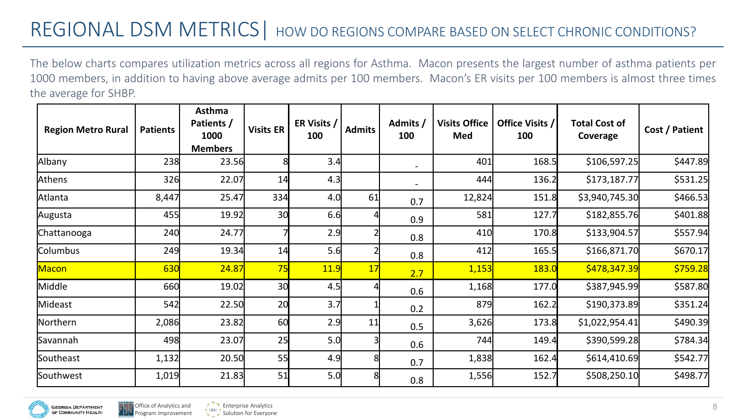The below charts compares utilization metrics across all regions for Asthma. Macon presents the largest number of asthma patients per 1000 members, in addition to having above average admits per 100 members. Macon's ER visits per 100 members is almost three times the average for SHBP.

| <b>Region Metro Rural</b> | <b>Patients</b> | Asthma<br>Patients /<br>1000<br><b>Members</b> | <b>Visits ER</b> | ER Visits /<br>100 | <b>Admits</b> | Admits /<br>100          | <b>Visits Office</b><br>Med | Office Visits /<br>100 | <b>Total Cost of</b><br>Coverage | Cost / Patient |
|---------------------------|-----------------|------------------------------------------------|------------------|--------------------|---------------|--------------------------|-----------------------------|------------------------|----------------------------------|----------------|
| Albany                    | 238             | 23.56                                          | 8                | 3.4                |               | $\overline{\phantom{a}}$ | 401                         | 168.5                  | \$106,597.25                     | \$447.89       |
| Athens                    | 326             | 22.07                                          | 14               | 4.3                |               | $\overline{\phantom{a}}$ | 444                         | 136.2                  | \$173,187.77                     | \$531.25       |
| Atlanta                   | 8,447           | 25.47                                          | 334              | 4.0                | 61            | 0.7                      | 12,824                      | 151.8                  | \$3,940,745.30                   | \$466.53       |
| Augusta                   | 455             | 19.92                                          | 30               | 6.6                |               | 0.9                      | 581                         | 127.7                  | \$182,855.76                     | \$401.88       |
| Chattanooga               | 240             | 24.77                                          |                  | 2.9                |               | 0.8                      | 410                         | 170.8                  | \$133,904.57                     | \$557.94       |
| Columbus                  | 249             | 19.34                                          | 14               | 5.6                |               | 0.8                      | 412                         | 165.5                  | \$166,871.70                     | \$670.17       |
| <b>Macon</b>              | 630             | 24.87                                          | 75               | 11.9               | 17            | 2.7                      | 1,153                       | <b>183.0</b>           | \$478,347.39                     | \$759.28       |
| Middle                    | 660             | 19.02                                          | 30               | 4.5                |               | 0.6                      | 1,168                       | 177.0                  | \$387,945.99                     | \$587.80       |
| Mideast                   | 542             | 22.50                                          | 20               | 3.7                |               | 0.2                      | 879                         | 162.2                  | \$190,373.89                     | \$351.24       |
| Northern                  | 2,086           | 23.82                                          | 60               | 2.9                | 11            | 0.5                      | 3,626                       | 173.8                  | \$1,022,954.41                   | \$490.39       |
| Savannah                  | 498             | 23.07                                          | 25               | 5.0                |               | 0.6                      | 744                         | 149.4                  | \$390,599.28                     | \$784.34       |
| Southeast                 | 1,132           | 20.50                                          | 55               | 4.9                |               | 0.7                      | 1,838                       | 162.4                  | \$614,410.69                     | \$542.77       |
| Southwest                 | 1,019           | 21.83                                          | 51               | 5.0                |               | 0.8                      | 1,556                       | 152.7                  | \$508,250.10                     | \$498.77       |



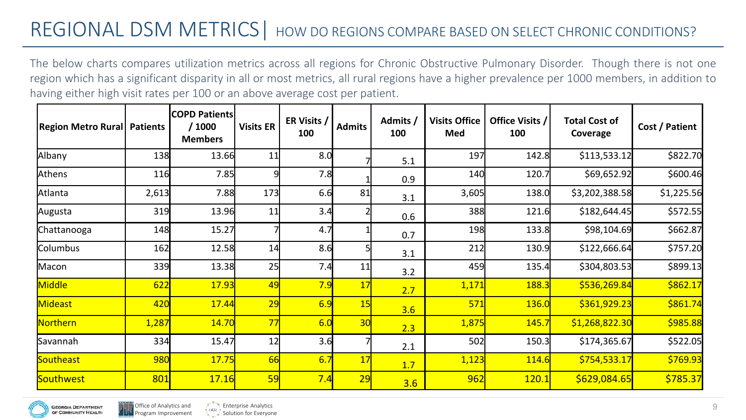The below charts compares utilization metrics across all regions for Chronic Obstructive Pulmonary Disorder. Though there is not one region which has a significant disparity in all or most metrics, all rural regions have a higher prevalence per 1000 members, in addition to having either high visit rates per 100 or an above average cost per patient.

| <b>Region Metro Rural Patients</b> |       | <b>COPD Patients</b><br>/1000<br><b>Members</b> | <b>Visits ER</b> | ER Visits /<br>100 | <b>Admits</b> | Admits /<br>100 | <b>Visits Office</b><br>Med | Office Visits /<br>100 | <b>Total Cost of</b><br>Coverage | Cost / Patient |
|------------------------------------|-------|-------------------------------------------------|------------------|--------------------|---------------|-----------------|-----------------------------|------------------------|----------------------------------|----------------|
| Albany                             | 138   | 13.66                                           | 11               | 8.0                |               | 5.1             | 197                         | 142.8                  | \$113,533.12                     | \$822.70       |
| Athens                             | 116   | 7.85                                            |                  | 7.8                |               | 0.9             | 140                         | 120.7                  | \$69,652.92                      | \$600.46       |
| Atlanta                            | 2,613 | 7.88                                            | 173              | 6.6                | 81            | 3.1             | 3,605                       | 138.0                  | \$3,202,388.58                   | \$1,225.56     |
| Augusta                            | 319   | 13.96                                           | 11               | 3.4                |               | 0.6             | 388                         | 121.6                  | \$182,644.45                     | \$572.55       |
| Chattanooga                        | 148   | 15.27                                           |                  | 4.7                |               | 0.7             | 198                         | 133.8                  | \$98,104.69                      | \$662.87       |
| Columbus                           | 162   | 12.58                                           | 14               | 8.6                |               | 3.1             | 212                         | 130.9                  | \$122,666.64                     | \$757.20       |
| Macon                              | 339   | 13.38                                           | 25               | 7.4                | 11            | 3.2             | 459                         | 135.4                  | \$304,803.53                     | \$899.13       |
| Middle                             | 622   | 17.93                                           | 49               | 7.9                | 17            | 2.7             | 1,171                       | 188.3                  | \$536,269.84                     | \$862.17       |
| Mideast                            | 420   | 17.44                                           | 29               | 6.9                | 15            | 3.6             | 571                         | 136.0                  | \$361,929.23                     | \$861.74       |
| Northern                           | 1,287 | 14.70                                           | 77               | 6.0                | 30            | 2.3             | 1,875                       | 145.7                  | \$1,268,822.30                   | \$985.88       |
| Savannah                           | 334   | 15.47                                           | 12               | 3.6                |               | 2.1             | 502                         | 150.3                  | \$174,365.67                     | \$522.05       |
| <b>Southeast</b>                   | 980   | 17.75                                           | 66               | 6.7                | 17            | 1.7             | 1,123                       | 114.6                  | \$754,533.17                     | \$769.93       |
| Southwest                          | 801   | 17.16                                           | 59               | 7.4                | 29            | 3.6             | 962                         | 120.1                  | \$629,084.65                     | \$785.37       |

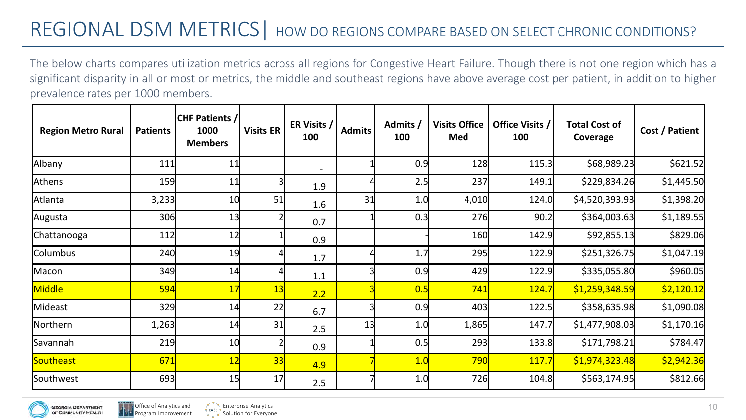The below charts compares utilization metrics across all regions for Congestive Heart Failure. Though there is not one region which has a significant disparity in all or most or metrics, the middle and southeast regions have above average cost per patient, in addition to higher prevalence rates per 1000 members.

| <b>Region Metro Rural</b> | <b>Patients</b> | <b>CHF Patients /</b><br>1000<br><b>Members</b> | <b>Visits ER</b> | ER Visits /<br>100       | <b>Admits</b> | Admits /<br>100 | <b>Visits Office</b><br>Med | Office Visits /<br>100 | <b>Total Cost of</b><br>Coverage | Cost / Patient |
|---------------------------|-----------------|-------------------------------------------------|------------------|--------------------------|---------------|-----------------|-----------------------------|------------------------|----------------------------------|----------------|
| Albany                    | 111             | 11                                              |                  | $\overline{\phantom{a}}$ |               | 0.9             | 128                         | 115.3                  | \$68,989.23                      | \$621.52       |
| Athens                    | 159             | 11                                              |                  | 1.9                      |               | 2.5             | 237                         | 149.1                  | \$229,834.26                     | \$1,445.50     |
| Atlanta                   | 3,233           | 10                                              | 51               | 1.6                      | 31            | 1.0             | 4,010                       | 124.0                  | \$4,520,393.93                   | \$1,398.20     |
| Augusta                   | 306             | 13                                              |                  | 0.7                      |               | 0.3             | 276                         | 90.2                   | \$364,003.63                     | \$1,189.55     |
| Chattanooga               | 112             | 12                                              |                  | 0.9                      |               |                 | 160                         | 142.9                  | \$92,855.13                      | \$829.06       |
| Columbus                  | 240             | 19                                              |                  | 1.7                      |               | 1.7             | 295                         | 122.9                  | \$251,326.75                     | \$1,047.19     |
| Macon                     | 349             | 14                                              |                  | 1.1                      |               | 0.9             | 429                         | 122.9                  | \$335,055.80                     | \$960.05       |
| Middle                    | 594             | 17                                              | 13               | 2.2                      |               | 0.5             | 741                         | 124.7                  | \$1,259,348.59                   | \$2,120.12     |
| Mideast                   | 329             | 14                                              | 22               | 6.7                      |               | 0.9             | 403                         | 122.5                  | \$358,635.98                     | \$1,090.08     |
| Northern                  | 1,263           | 14                                              | 31               | 2.5                      | 13            | 1.0             | 1,865                       | 147.7                  | \$1,477,908.03                   | \$1,170.16     |
| Savannah                  | 219             | 10                                              |                  | 0.9                      |               | 0.5             | 293                         | 133.8                  | \$171,798.21                     | \$784.47       |
| Southeast                 | 671             | 12                                              | 33               | 4.9                      |               | 1.0             | 790                         | 117.7                  | \$1,974,323.48                   | \$2,942.36     |
| Southwest                 | 693             | 15                                              | 17               | 2.5                      |               | 1.0             | 726                         | 104.8                  | \$563,174.95                     | \$812.66       |

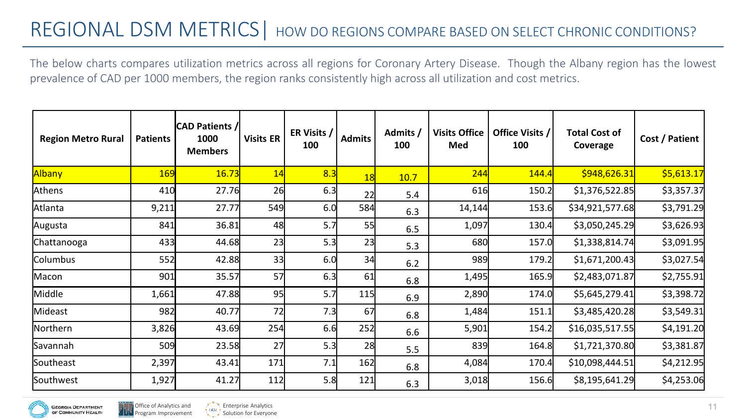The below charts compares utilization metrics across all regions for Coronary Artery Disease. Though the Albany region has the lowest prevalence of CAD per 1000 members, the region ranks consistently high across all utilization and cost metrics.

| <b>Region Metro Rural</b> | <b>Patients</b> | <b>CAD Patients //</b><br>1000<br><b>Members</b> | <b>Visits ER</b> | ER Visits /<br>100 | <b>Admits</b> | Admits /<br>100 | <b>Visits Office</b><br>Med | Office Visits /<br>100 | <b>Total Cost of</b><br>Coverage | Cost / Patient |
|---------------------------|-----------------|--------------------------------------------------|------------------|--------------------|---------------|-----------------|-----------------------------|------------------------|----------------------------------|----------------|
| Albany                    | <b>169</b>      | 16.73                                            | 14               | 8.3                | 18            | 10.7            | 244                         | 144.4                  | \$948,626.31                     | \$5,613.17     |
| Athens                    | 410             | 27.76                                            | 26               | 6.3                | 22            | 5.4             | 616                         | 150.2                  | \$1,376,522.85                   | \$3,357.37     |
| Atlanta                   | 9,211           | 27.77                                            | 549              | 6.0                | 584           | 6.3             | 14,144                      | 153.6                  | \$34,921,577.68                  | \$3,791.29     |
| Augusta                   | 841             | 36.81                                            | 48               | 5.7                | 55            | 6.5             | 1,097                       | 130.4                  | \$3,050,245.29                   | \$3,626.93     |
| Chattanooga               | 433             | 44.68                                            | 23               | 5.3                | 23            | 5.3             | 680                         | 157.0                  | \$1,338,814.74                   | \$3,091.95     |
| Columbus                  | 552             | 42.88                                            | 33               | 6.0                | 34            | 6.2             | 989                         | 179.2                  | \$1,671,200.43                   | \$3,027.54     |
| Macon                     | 901             | 35.57                                            | 57               | 6.3                | 61            | 6.8             | 1,495                       | 165.9                  | \$2,483,071.87                   | \$2,755.91     |
| Middle                    | 1,661           | 47.88                                            | 95               | 5.7                | 115           | 6.9             | 2,890                       | 174.0                  | \$5,645,279.41                   | \$3,398.72     |
| Mideast                   | 982             | 40.77                                            | 72               | 7.3                | 67            | 6.8             | 1,484                       | 151.1                  | \$3,485,420.28                   | \$3,549.31     |
| Northern                  | 3,826           | 43.69                                            | 254              | 6.6                | 252           | 6.6             | 5,901                       | 154.2                  | \$16,035,517.55                  | \$4,191.20     |
| Savannah                  | 509             | 23.58                                            | 27               | 5.3                | 28            | 5.5             | 839                         | 164.8                  | \$1,721,370.80                   | \$3,381.87     |
| Southeast                 | 2,397           | 43.41                                            | 171              | 7.1                | 162           | 6.8             | 4,084                       | 170.4                  | \$10,098,444.51                  | \$4,212.95     |
| Southwest                 | 1,927           | 41.27                                            | 112              | 5.8                | 121           | 6.3             | 3,018                       | 156.6                  | \$8,195,641.29                   | \$4,253.06     |



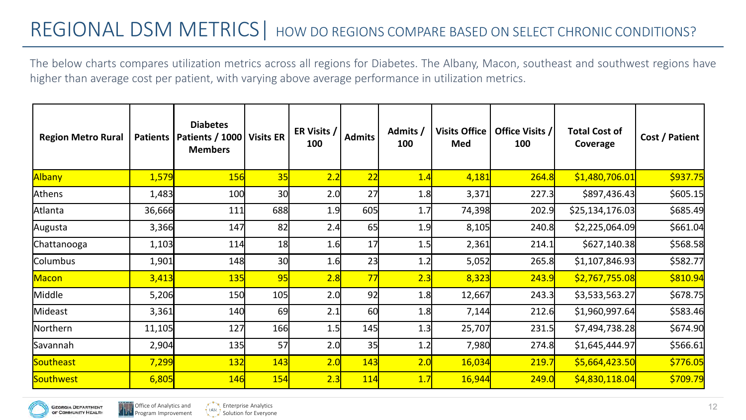The below charts compares utilization metrics across all regions for Diabetes. The Albany, Macon, southeast and southwest regions have higher than average cost per patient, with varying above average performance in utilization metrics.

| <b>Region Metro Rural</b> | <b>Patients</b> | <b>Diabetes</b><br><b>Patients / 1000</b><br><b>Members</b> | Visits ER | ER Visits /<br>100 | <b>Admits</b> | Admits /<br>100 | <b>Visits Office</b><br>Med | Office Visits /<br>100 | <b>Total Cost of</b><br>Coverage | Cost / Patient |
|---------------------------|-----------------|-------------------------------------------------------------|-----------|--------------------|---------------|-----------------|-----------------------------|------------------------|----------------------------------|----------------|
| <b>Albany</b>             | 1,579           | <b>156</b>                                                  | 35        | 2.2                | 22            | 1.4             | 4,181                       | 264.8                  | \$1,480,706.01                   | \$937.75       |
| Athens                    | 1,483           | 100                                                         | 30        | 2.0                | 27            | 1.8             | 3,371                       | 227.3                  | \$897,436.43                     | \$605.15       |
| Atlanta                   | 36,666          | 111                                                         | 688       | 1.9                | 605           | 1.7             | 74,398                      | 202.9                  | \$25,134,176.03                  | \$685.49       |
| Augusta                   | 3,366           | 147                                                         | 82        | 2.4                | 65            | 1.9             | 8,105                       | 240.8                  | \$2,225,064.09                   | \$661.04       |
| Chattanooga               | 1,103           | 114                                                         | 18        | 1.6                | 17            | 1.5             | 2,361                       | 214.1                  | \$627,140.38                     | \$568.58       |
| Columbus                  | 1,901           | 148                                                         | 30        | 1.6                | 23            | 1.2             | 5,052                       | 265.8                  | \$1,107,846.93                   | \$582.77       |
| <b>Macon</b>              | 3,413           | 135                                                         | 95        | 2.8                | 77            | 2.3             | 8,323                       | 243.9                  | \$2,767,755.08                   | \$810.94       |
| Middle                    | 5,206           | 150                                                         | 105       | 2.0                | 92            | 1.8             | 12,667                      | 243.3                  | \$3,533,563.27                   | \$678.75       |
| Mideast                   | 3,361           | 140                                                         | 69        | 2.1                | 60            | 1.8             | 7,144                       | 212.6                  | \$1,960,997.64                   | \$583.46       |
| Northern                  | 11,105          | 127                                                         | 166       | 1.5                | 145           | 1.3             | 25,707                      | 231.5                  | \$7,494,738.28                   | \$674.90       |
| Savannah                  | 2,904           | 135                                                         | 57        | 2.0                | 35            | 1.2             | 7,980                       | 274.8                  | \$1,645,444.97                   | \$566.61       |
| Southeast                 | 7,299           | 132                                                         | 143       | 2.0                | 143           | 2.0             | 16,034                      | 219.7                  | \$5,664,423.50                   | \$776.05       |
| Southwest                 | 6,805           | <b>146</b>                                                  | 154       | 2.3                | <b>114</b>    | 1.7             | <b>16,944</b>               | 249.0                  | \$4,830,118.04                   | \$709.79       |

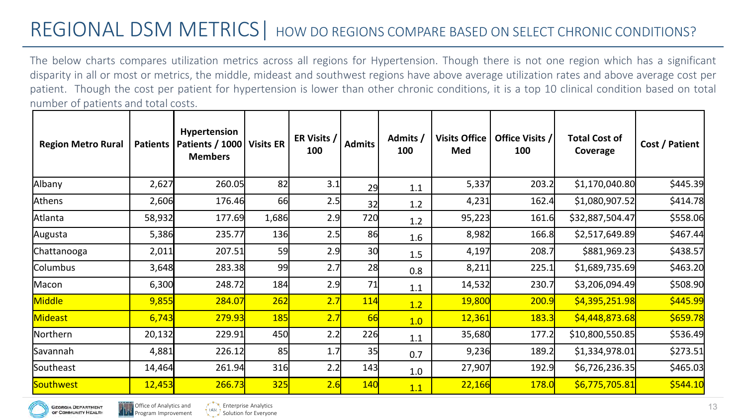The below charts compares utilization metrics across all regions for Hypertension. Though there is not one region which has a significant disparity in all or most or metrics, the middle, mideast and southwest regions have above average utilization rates and above average cost per patient. Though the cost per patient for hypertension is lower than other chronic conditions, it is a top 10 clinical condition based on total number of patients and total costs.

| <b>Region Metro Rural</b> | <b>Patients</b> | <b>Hypertension</b><br>Patients / 1000   Visits ER<br><b>Members</b> |            | ER Visits /<br>100 | <b>Admits</b> | Admits /<br>100 | <b>Visits Office</b><br>Med | Office Visits /<br>100 | <b>Total Cost of</b><br>Coverage | Cost / Patient |
|---------------------------|-----------------|----------------------------------------------------------------------|------------|--------------------|---------------|-----------------|-----------------------------|------------------------|----------------------------------|----------------|
| Albany                    | 2,627           | 260.05                                                               | 82         | 3.1                | 29            | 1.1             | 5,337                       | 203.2                  | \$1,170,040.80                   | \$445.39       |
| Athens                    | 2,606           | 176.46                                                               | 66         | 2.5                | 32            | 1.2             | 4,231                       | 162.4                  | \$1,080,907.52                   | \$414.78       |
| Atlanta                   | 58,932          | 177.69                                                               | 1,686      | 2.9                | 720           | 1.2             | 95,223                      | 161.6                  | \$32,887,504.47                  | \$558.06       |
| Augusta                   | 5,386           | 235.77                                                               | 136        | 2.5                | 86            | $1.6\,$         | 8,982                       | 166.8                  | \$2,517,649.89                   | \$467.44       |
| Chattanooga               | 2,011           | 207.51                                                               | 59         | 2.9                | 30            | 1.5             | 4,197                       | 208.7                  | \$881,969.23                     | \$438.57       |
| Columbus                  | 3,648           | 283.38                                                               | 99         | 2.7                | 28            | 0.8             | 8,211                       | 225.1                  | \$1,689,735.69                   | \$463.20       |
| Macon                     | 6,300           | 248.72                                                               | 184        | 2.9                | 71            | 1.1             | 14,532                      | 230.7                  | \$3,206,094.49                   | \$508.90       |
| Middle                    | 9,855           | 284.07                                                               | 262        | 2.7                | <b>114</b>    | 1.2             | 19,800                      | 200.9                  | \$4,395,251.98                   | \$445.99       |
| Mideast                   | 6,743           | 279.93                                                               | <b>185</b> | 2.7                | 66            | 1.0             | 12,361                      | 183.3                  | \$4,448,873.68                   | \$659.78       |
| Northern                  | 20,132          | 229.91                                                               | 450        | 2.2                | 226           | 1.1             | 35,680                      | 177.2                  | \$10,800,550.85                  | \$536.49       |
| Savannah                  | 4,881           | 226.12                                                               | 85         | 1.7                | 35            | 0.7             | 9,236                       | 189.2                  | \$1,334,978.01                   | \$273.51       |
| Southeast                 | 14,464          | 261.94                                                               | 316        | 2.2                | 143           | 1.0             | 27,907                      | 192.9                  | \$6,726,236.35                   | \$465.03       |
| Southwest                 | 12,453          | 266.73                                                               | <b>325</b> | 2.6                | <b>140</b>    | 1.1             | 22,166                      | 178.0                  | \$6,775,705.81                   | \$544.10       |